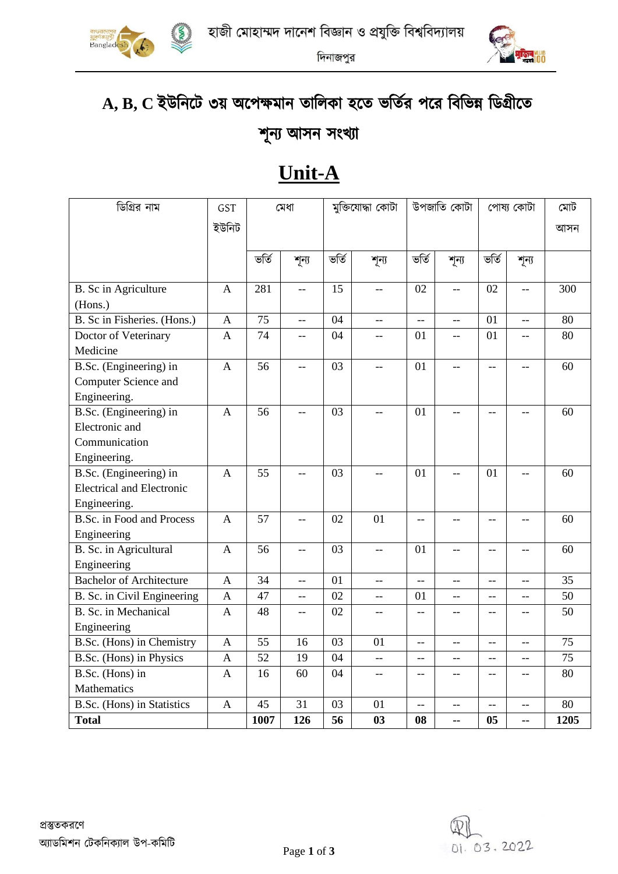



দিনাজপুর

# **A, B, C** ইউমনণে ৩য় অ্ণপক্ষিান তামলকা হণত ভমতির পণর মিমভন্ন মডগ্রীণত

### শূনয আসন সংখ্যা

## **Unit-A**

| ডিগ্রির নাম                      | <b>GST</b>     | মেধা  |                          | মুক্তিযোদ্ধা কোটা |                   | উপজাতি কোটা              |                                                     | পোষ্য কোটা               |                          | মোট  |
|----------------------------------|----------------|-------|--------------------------|-------------------|-------------------|--------------------------|-----------------------------------------------------|--------------------------|--------------------------|------|
|                                  | ইউনিট          |       |                          |                   |                   |                          |                                                     |                          | আসন                      |      |
|                                  |                |       |                          |                   |                   |                          |                                                     |                          |                          |      |
|                                  |                | ভৰ্তি | শূন্য                    | ভৰ্তি             | শূন্য             | ভৰ্তি                    | শূন্য                                               | ভৰ্তি                    | শূন্য                    |      |
|                                  |                |       |                          |                   |                   |                          |                                                     |                          |                          |      |
| B. Sc in Agriculture             | $\mathbf{A}$   | 281   | $\overline{\phantom{a}}$ | 15                | $-$               | 02                       | $\overline{\phantom{a}}$                            | 02                       | $\overline{a}$           | 300  |
| (Hons.)                          |                |       |                          |                   |                   |                          |                                                     |                          |                          |      |
| B. Sc in Fisheries. (Hons.)      | $\mathbf{A}$   | 75    | <u></u>                  | 04                | $-$               | <u></u>                  | $\overline{\phantom{a}}$                            | 01                       | <u></u>                  | 80   |
| Doctor of Veterinary             | $\mathbf{A}$   | 74    | $-$                      | 04                | $-$               | 01                       | $-$                                                 | 01                       | $-$                      | 80   |
| Medicine                         |                |       |                          |                   |                   |                          |                                                     |                          |                          |      |
| B.Sc. (Engineering) in           | $\overline{A}$ | 56    | $\overline{a}$           | 03                | $-$               | 01                       | $-$                                                 | $-$                      | $\overline{a}$           | 60   |
| Computer Science and             |                |       |                          |                   |                   |                          |                                                     |                          |                          |      |
| Engineering.                     |                |       |                          |                   |                   |                          |                                                     |                          |                          |      |
| B.Sc. (Engineering) in           | $\mathbf{A}$   | 56    | $-$                      | 03                | $-$               | 01                       | $-$                                                 | $-$                      | $-$                      | 60   |
| Electronic and                   |                |       |                          |                   |                   |                          |                                                     |                          |                          |      |
| Communication                    |                |       |                          |                   |                   |                          |                                                     |                          |                          |      |
| Engineering.                     |                |       |                          |                   |                   |                          |                                                     |                          |                          |      |
| B.Sc. (Engineering) in           | $\overline{A}$ | 55    | $-$                      | 03                | $-$               | 01                       | $-$                                                 | 01                       |                          | 60   |
| <b>Electrical and Electronic</b> |                |       |                          |                   |                   |                          |                                                     |                          |                          |      |
| Engineering.                     |                |       |                          |                   |                   |                          |                                                     |                          |                          |      |
| <b>B.Sc.</b> in Food and Process | $\mathbf{A}$   | 57    | $\overline{\phantom{a}}$ | 02                | 01                | $-$                      | $\overline{\phantom{m}}$                            | $\overline{\phantom{a}}$ | $-$                      | 60   |
| Engineering                      |                |       |                          |                   |                   |                          |                                                     |                          |                          |      |
| B. Sc. in Agricultural           | $\mathbf{A}$   | 56    | $\overline{a}$           | 03                | $\overline{a}$    | 01                       | Ц.,                                                 | $\overline{a}$           | $-$                      | 60   |
| Engineering                      |                |       |                          |                   |                   |                          |                                                     |                          |                          |      |
| <b>Bachelor of Architecture</b>  | $\overline{A}$ | 34    | --                       | 01                | $\overline{a}$    | $\overline{a}$           | $-$                                                 | --                       | $-$                      | 35   |
| B. Sc. in Civil Engineering      | $\mathbf{A}$   | 47    | $\overline{a}$           | 02                | $-$               | 01                       | $\overline{a}$                                      | --                       | $-$                      | 50   |
| B. Sc. in Mechanical             | A              | 48    | $-$                      | 02                | $\qquad \qquad -$ | $-$                      | $\hspace{0.05cm} -\hspace{0.05cm} -\hspace{0.05cm}$ | --                       | --                       | 50   |
| Engineering                      |                |       |                          |                   |                   |                          |                                                     |                          |                          |      |
| B.Sc. (Hons) in Chemistry        | $\overline{A}$ | 55    | 16                       | 03                | 01                | $\overline{\phantom{a}}$ | $-$                                                 | --                       | $-$                      | 75   |
| B.Sc. (Hons) in Physics          | $\mathbf{A}$   | 52    | 19                       | 04                | $-$               | $-$                      | $-$                                                 | $\overline{a}$           | $-$                      | 75   |
| B.Sc. (Hons) in                  | $\mathbf{A}$   | 16    | 60                       | 04                | $-$               | $-$                      | $-$                                                 | $\overline{a}$           | $-$                      | 80   |
| Mathematics                      |                |       |                          |                   |                   |                          |                                                     |                          |                          |      |
| B.Sc. (Hons) in Statistics       | A              | 45    | 31                       | 03                | 01                | $\overline{a}$           | $\overline{\phantom{a}}$                            | $\overline{\phantom{a}}$ | $\overline{\phantom{a}}$ | 80   |
| <b>Total</b>                     |                | 1007  | 126                      | 56                | 03                | 08                       | ۰.                                                  | 05                       | --                       | 1205 |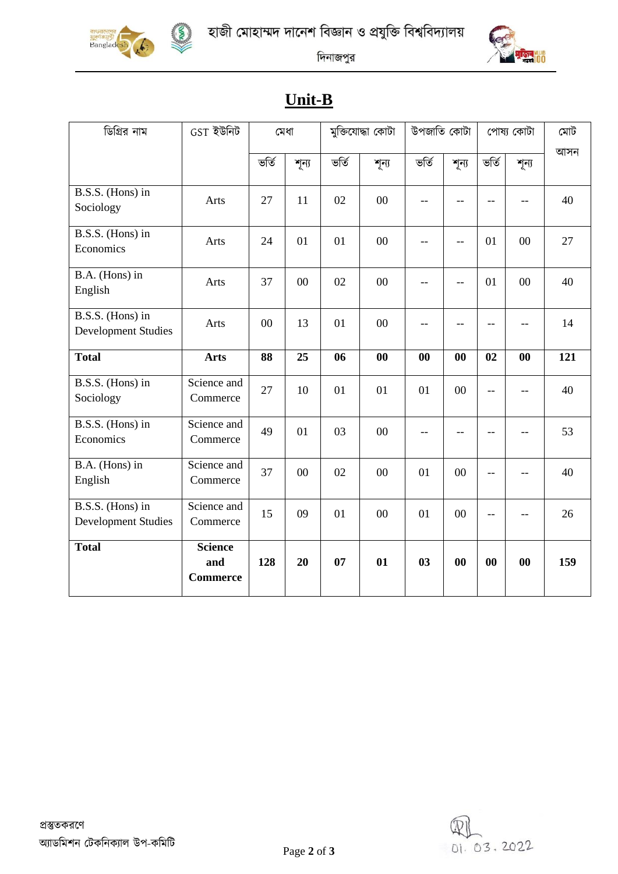





দিনাজপুর

### **Unit-B**

| ডিগ্রির নাম                                    | $GST$ ইউনিট                              | মেধা  |       | মুক্তিযোদ্ধা কোটা |        | উপজাতি কোটা |       | পোষ্য কোটা        |        | মোট |
|------------------------------------------------|------------------------------------------|-------|-------|-------------------|--------|-------------|-------|-------------------|--------|-----|
|                                                |                                          | ভৰ্তি | শূন্য | ভৰ্তি             | শূন্য  | ভৰ্তি       | শূন্য | ভৰ্তি             | শূন্য  | আসন |
| B.S.S. (Hons) in<br>Sociology                  | Arts                                     | 27    | 11    | 02                | 00     | $-$         | --    | $-$               | --     | 40  |
| B.S.S. (Hons) in<br>Economics                  | Arts                                     | 24    | 01    | 01                | 00     |             | $-$   | 01                | $00\,$ | 27  |
| B.A. (Hons) in<br>English                      | Arts                                     | 37    | 00    | 02                | $00\,$ |             | $-$   | 01                | $00\,$ | 40  |
| B.S.S. (Hons) in<br><b>Development Studies</b> | Arts                                     | 00    | 13    | 01                | 00     |             |       | $-$               |        | 14  |
| <b>Total</b>                                   | <b>Arts</b>                              | 88    | 25    | 06                | 00     | 00          | 00    | 02                | 00     | 121 |
| B.S.S. (Hons) in<br>Sociology                  | Science and<br>Commerce                  | 27    | 10    | 01                | 01     | 01          | 00    | $-$               | --     | 40  |
| B.S.S. (Hons) in<br>Economics                  | Science and<br>Commerce                  | 49    | 01    | 03                | 00     |             |       | --                | --     | 53  |
| B.A. (Hons) in<br>English                      | Science and<br>Commerce                  | 37    | 00    | 02                | 00     | 01          | 00    | $-$               | $-$    | 40  |
| B.S.S. (Hons) in<br><b>Development Studies</b> | Science and<br>Commerce                  | 15    | 09    | 01                | 00     | 01          | 00    |                   |        | 26  |
| <b>Total</b>                                   | <b>Science</b><br>and<br><b>Commerce</b> | 128   | 20    | 07                | 01     | 03          | 00    | $\boldsymbol{00}$ | 00     | 159 |